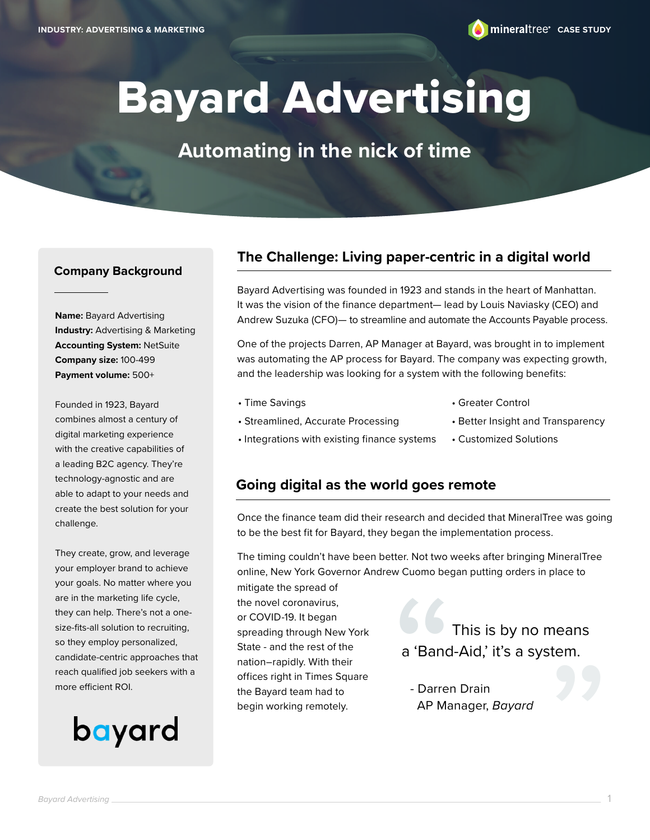# Bayard Advertising

### **Automating in the nick of time**

#### **Company Background**

**Name:** Bayard Advertising **Industry:** Advertising & Marketing **Accounting System:** NetSuite **Company size:** 100-499 **Payment volume:** 500+

Founded in 1923, Bayard combines almost a century of digital marketing experience with the creative capabilities of a leading B2C agency. They're technology-agnostic and are able to adapt to your needs and create the best solution for your challenge.

They create, grow, and leverage your employer brand to achieve your goals. No matter where you are in the marketing life cycle, they can help. There's not a onesize-fits-all solution to recruiting, so they employ personalized, candidate-centric approaches that reach qualified job seekers with a more efficient ROI.

## bayard

#### **The Challenge: Living paper-centric in a digital world**

Bayard Advertising was founded in 1923 and stands in the heart of Manhattan. It was the vision of the finance department— lead by Louis Naviasky (CEO) and Andrew Suzuka (CFO)— to streamline and automate the Accounts Payable process.

One of the projects Darren, AP Manager at Bayard, was brought in to implement was automating the AP process for Bayard. The company was expecting growth, and the leadership was looking for a system with the following benefits:

- Time Savings
- Streamlined, Accurate Processing
- Greater Control
- Better Insight and Transparency
- Integrations with existing finance systems
- Customized Solutions

#### **Going digital as the world goes remote**

Once the finance team did their research and decided that MineralTree was going to be the best fit for Bayard, they began the implementation process.

The timing couldn't have been better. Not two weeks after bringing MineralTree online, New York Governor Andrew Cuomo began putting orders in place to

mitigate the spread of the novel coronavirus, or COVID-19. It began spreading through New York State - and the rest of the nation–rapidly. With their offices right in Times Square the Bayard team had to begin working remotely.

 This is by no means a 'Band-Aid,' it's a system. a 'Band<br>- Darrer<br>AP Ma

Bariu-Alu, it's a system.<br>- Darren Drain<br>AP Manager, *Bayard* AP Manager, *Bayard*